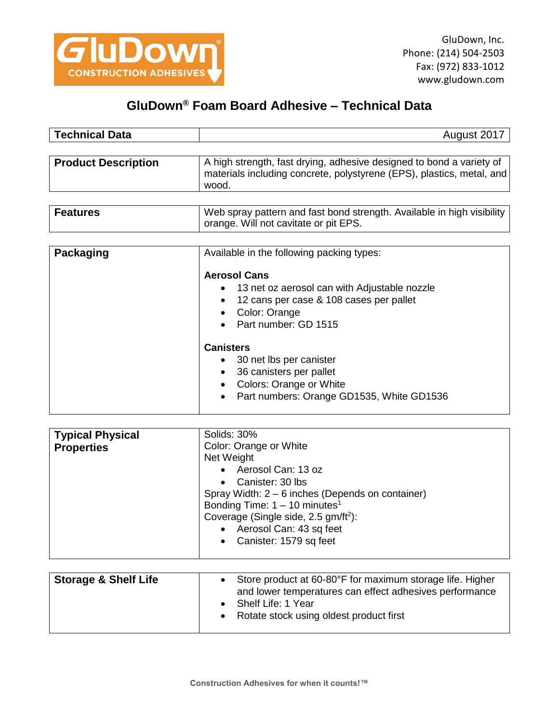

## **GluDown® Foam Board Adhesive – Technical Data**

| <b>Technical Data</b>      | August 2017                                                                                                                                            |
|----------------------------|--------------------------------------------------------------------------------------------------------------------------------------------------------|
| <b>Product Description</b> | A high strength, fast drying, adhesive designed to bond a variety of<br>materials including concrete, polystyrene (EPS), plastics, metal, and<br>wood. |
|                            |                                                                                                                                                        |
| <b>Features</b>            | Web spray pattern and fast bond strength. Available in high visibility<br>orange. Will not cavitate or pit EPS.                                        |
|                            |                                                                                                                                                        |
| Packaging                  | Available in the following packing types:                                                                                                              |
|                            | <b>Aerosol Cans</b>                                                                                                                                    |
|                            | 13 net oz aerosol can with Adjustable nozzle                                                                                                           |
|                            | 12 cans per case & 108 cases per pallet                                                                                                                |
|                            | Color: Orange<br>$D_{\text{out}}$ is used a set $\bigcap$ $AFAF$                                                                                       |

Part number: GD 1515

## **Canisters**

- 30 net lbs per canister
- 36 canisters per pallet
- Colors: Orange or White
- Part numbers: Orange GD1535, White GD1536

| <b>Typical Physical</b><br><b>Properties</b> | Solids: 30%<br>Color: Orange or White<br>Net Weight<br>Aerosol Can: 13 oz<br>Canister: 30 lbs<br>$\bullet$<br>Spray Width: $2 - 6$ inches (Depends on container)<br>Bonding Time: $1 - 10$ minutes <sup>1</sup><br>Coverage (Single side, $2.5$ gm/ft <sup>2</sup> ):<br>Aerosol Can: 43 sq feet |
|----------------------------------------------|--------------------------------------------------------------------------------------------------------------------------------------------------------------------------------------------------------------------------------------------------------------------------------------------------|
|                                              | Canister: 1579 sq feet<br>$\bullet$                                                                                                                                                                                                                                                              |

| <b>Storage &amp; Shelf Life</b> | Store product at 60-80°F for maximum storage life. Higher<br>and lower temperatures can effect adhesives performance<br>Shelf Life: 1 Year<br>Rotate stock using oldest product first |
|---------------------------------|---------------------------------------------------------------------------------------------------------------------------------------------------------------------------------------|
|---------------------------------|---------------------------------------------------------------------------------------------------------------------------------------------------------------------------------------|